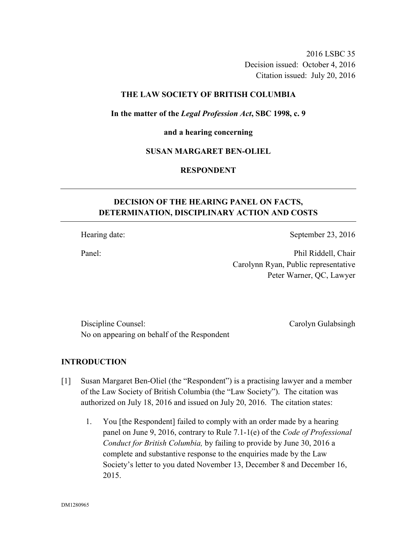2016 LSBC 35 Decision issued: October 4, 2016 Citation issued: July 20, 2016

### **THE LAW SOCIETY OF BRITISH COLUMBIA**

### **In the matter of the** *Legal Profession Act***, SBC 1998, c. 9**

#### **and a hearing concerning**

### **SUSAN MARGARET BEN-OLIEL**

### **RESPONDENT**

# **DECISION OF THE HEARING PANEL ON FACTS, DETERMINATION, DISCIPLINARY ACTION AND COSTS**

Hearing date: September 23, 2016

Panel: Phil Riddell, Chair Carolynn Ryan, Public representative Peter Warner, QC, Lawyer

Discipline Counsel: Carolyn Gulabsingh No on appearing on behalf of the Respondent

### **INTRODUCTION**

- [1] Susan Margaret Ben-Oliel (the "Respondent") is a practising lawyer and a member of the Law Society of British Columbia (the "Law Society"). The citation was authorized on July 18, 2016 and issued on July 20, 2016. The citation states:
	- 1. You [the Respondent] failed to comply with an order made by a hearing panel on June 9, 2016, contrary to Rule 7.1-1(e) of the *Code of Professional Conduct for British Columbia,* by failing to provide by June 30, 2016 a complete and substantive response to the enquiries made by the Law Society's letter to you dated November 13, December 8 and December 16, 2015.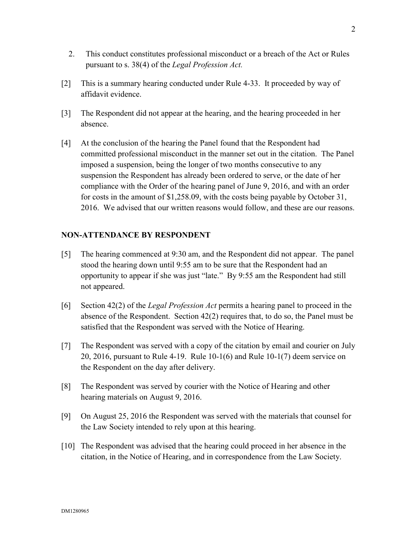- 2. This conduct constitutes professional misconduct or a breach of the Act or Rules pursuant to s. 38(4) of the *Legal Profession Act.*
- [2] This is a summary hearing conducted under Rule 4-33. It proceeded by way of affidavit evidence.
- [3] The Respondent did not appear at the hearing, and the hearing proceeded in her absence.
- [4] At the conclusion of the hearing the Panel found that the Respondent had committed professional misconduct in the manner set out in the citation. The Panel imposed a suspension, being the longer of two months consecutive to any suspension the Respondent has already been ordered to serve, or the date of her compliance with the Order of the hearing panel of June 9, 2016, and with an order for costs in the amount of \$1,258.09, with the costs being payable by October 31, 2016. We advised that our written reasons would follow, and these are our reasons.

# **NON-ATTENDANCE BY RESPONDENT**

- [5] The hearing commenced at 9:30 am, and the Respondent did not appear. The panel stood the hearing down until 9:55 am to be sure that the Respondent had an opportunity to appear if she was just "late." By 9:55 am the Respondent had still not appeared.
- [6] Section 42(2) of the *Legal Profession Act* permits a hearing panel to proceed in the absence of the Respondent. Section  $42(2)$  requires that, to do so, the Panel must be satisfied that the Respondent was served with the Notice of Hearing.
- [7] The Respondent was served with a copy of the citation by email and courier on July 20, 2016, pursuant to Rule 4-19. Rule 10-1(6) and Rule 10-1(7) deem service on the Respondent on the day after delivery.
- [8] The Respondent was served by courier with the Notice of Hearing and other hearing materials on August 9, 2016.
- [9] On August 25, 2016 the Respondent was served with the materials that counsel for the Law Society intended to rely upon at this hearing.
- [10] The Respondent was advised that the hearing could proceed in her absence in the citation, in the Notice of Hearing, and in correspondence from the Law Society.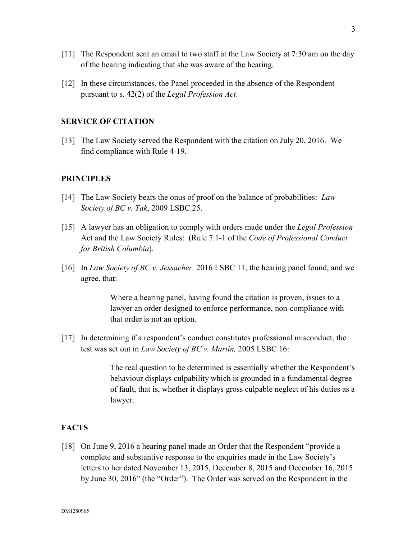- [11] The Respondent sent an email to two staff at the Law Society at 7:30 am on the day of the hearing indicating that she was aware of the hearing.
- [12] In these circumstances, the Panel proceeded in the absence of the Respondent pursuant to s. 42(2) of the *Legal Profession Act*.

### **SERVICE OF CITATION**

[13] The Law Society served the Respondent with the citation on July 20, 2016. We find compliance with Rule 4-19.

### **PRINCIPLES**

- [14] The Law Society bears the onus of proof on the balance of probabilities: *Law Society of BC v. Tak*, 2009 LSBC 25.
- [15] A lawyer has an obligation to comply with orders made under the *Legal Profession*  Act and the Law Society Rules: (Rule 7.1-1 of the *Code of Professional Conduct for British Columbia*).
- [16] In *Law Society of BC v. Jessacher,* 2016 LSBC 11, the hearing panel found, and we agree, that:

Where a hearing panel, having found the citation is proven, issues to a lawyer an order designed to enforce performance, non-compliance with that order is not an option.

[17] In determining if a respondent's conduct constitutes professional misconduct, the test was set out in *Law Society of BC v. Martin,* 2005 LSBC 16:

> The real question to be determined is essentially whether the Respondent's behaviour displays culpability which is grounded in a fundamental degree of fault, that is, whether it displays gross culpable neglect of his duties as a lawyer.

## **FACTS**

[18] On June 9, 2016 a hearing panel made an Order that the Respondent "provide a complete and substantive response to the enquiries made in the Law Society's letters to her dated November 13, 2015, December 8, 2015 and December 16, 2015 by June 30, 2016" (the "Order"). The Order was served on the Respondent in the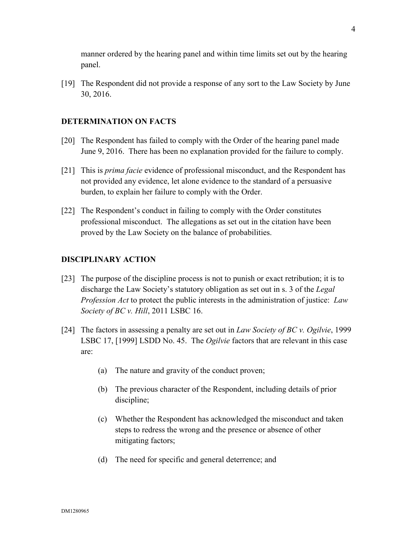manner ordered by the hearing panel and within time limits set out by the hearing panel.

[19] The Respondent did not provide a response of any sort to the Law Society by June 30, 2016.

### **DETERMINATION ON FACTS**

- [20] The Respondent has failed to comply with the Order of the hearing panel made June 9, 2016. There has been no explanation provided for the failure to comply.
- [21] This is *prima facie* evidence of professional misconduct, and the Respondent has not provided any evidence, let alone evidence to the standard of a persuasive burden, to explain her failure to comply with the Order.
- [22] The Respondent's conduct in failing to comply with the Order constitutes professional misconduct. The allegations as set out in the citation have been proved by the Law Society on the balance of probabilities.

### **DISCIPLINARY ACTION**

- [23] The purpose of the discipline process is not to punish or exact retribution; it is to discharge the Law Society's statutory obligation as set out in s. 3 of the *Legal Profession Act* to protect the public interests in the administration of justice: *Law Society of BC v. Hill*, 2011 LSBC 16.
- [24] The factors in assessing a penalty are set out in *Law Society of BC v. Ogilvie*, 1999 LSBC 17, [1999] LSDD No. 45. The *Ogilvie* factors that are relevant in this case are:
	- (a) The nature and gravity of the conduct proven;
	- (b) The previous character of the Respondent, including details of prior discipline;
	- (c) Whether the Respondent has acknowledged the misconduct and taken steps to redress the wrong and the presence or absence of other mitigating factors;
	- (d) The need for specific and general deterrence; and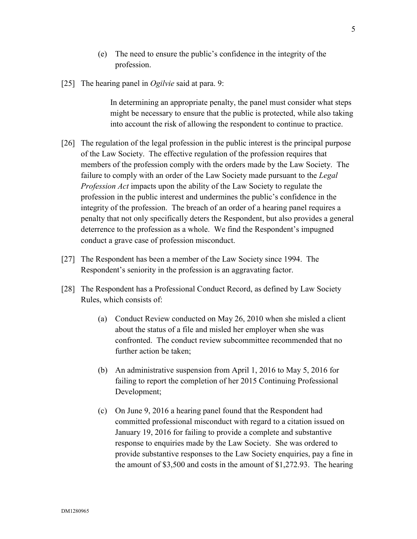- (e) The need to ensure the public's confidence in the integrity of the profession.
- [25] The hearing panel in *Ogilvie* said at para. 9:

In determining an appropriate penalty, the panel must consider what steps might be necessary to ensure that the public is protected, while also taking into account the risk of allowing the respondent to continue to practice.

- [26] The regulation of the legal profession in the public interest is the principal purpose of the Law Society. The effective regulation of the profession requires that members of the profession comply with the orders made by the Law Society. The failure to comply with an order of the Law Society made pursuant to the *Legal Profession Act* impacts upon the ability of the Law Society to regulate the profession in the public interest and undermines the public's confidence in the integrity of the profession. The breach of an order of a hearing panel requires a penalty that not only specifically deters the Respondent, but also provides a general deterrence to the profession as a whole. We find the Respondent's impugned conduct a grave case of profession misconduct.
- [27] The Respondent has been a member of the Law Society since 1994. The Respondent's seniority in the profession is an aggravating factor.
- [28] The Respondent has a Professional Conduct Record, as defined by Law Society Rules, which consists of:
	- (a) Conduct Review conducted on May 26, 2010 when she misled a client about the status of a file and misled her employer when she was confronted. The conduct review subcommittee recommended that no further action be taken;
	- (b) An administrative suspension from April 1, 2016 to May 5, 2016 for failing to report the completion of her 2015 Continuing Professional Development;
	- (c) On June 9, 2016 a hearing panel found that the Respondent had committed professional misconduct with regard to a citation issued on January 19, 2016 for failing to provide a complete and substantive response to enquiries made by the Law Society. She was ordered to provide substantive responses to the Law Society enquiries, pay a fine in the amount of \$3,500 and costs in the amount of \$1,272.93. The hearing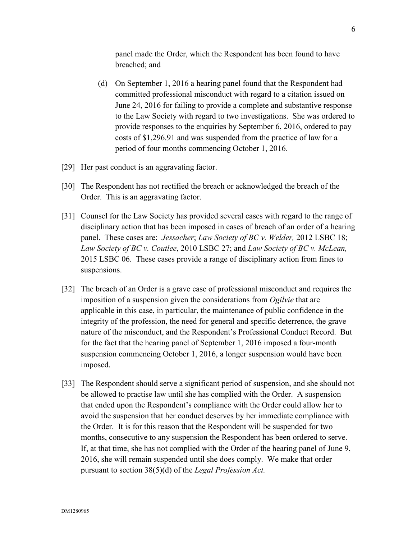panel made the Order, which the Respondent has been found to have breached; and

- (d) On September 1, 2016 a hearing panel found that the Respondent had committed professional misconduct with regard to a citation issued on June 24, 2016 for failing to provide a complete and substantive response to the Law Society with regard to two investigations. She was ordered to provide responses to the enquiries by September 6, 2016, ordered to pay costs of \$1,296.91 and was suspended from the practice of law for a period of four months commencing October 1, 2016.
- [29] Her past conduct is an aggravating factor.
- [30] The Respondent has not rectified the breach or acknowledged the breach of the Order. This is an aggravating factor.
- [31] Counsel for the Law Society has provided several cases with regard to the range of disciplinary action that has been imposed in cases of breach of an order of a hearing panel. These cases are: *Jessacher*; *Law Society of BC v. Welder,* 2012 LSBC 18; *Law Society of BC v. Coutlee*, 2010 LSBC 27; and *Law Society of BC v. McLean,* 2015 LSBC 06. These cases provide a range of disciplinary action from fines to suspensions.
- [32] The breach of an Order is a grave case of professional misconduct and requires the imposition of a suspension given the considerations from *Ogilvie* that are applicable in this case, in particular, the maintenance of public confidence in the integrity of the profession, the need for general and specific deterrence, the grave nature of the misconduct, and the Respondent's Professional Conduct Record. But for the fact that the hearing panel of September 1, 2016 imposed a four-month suspension commencing October 1, 2016, a longer suspension would have been imposed.
- [33] The Respondent should serve a significant period of suspension, and she should not be allowed to practise law until she has complied with the Order. A suspension that ended upon the Respondent's compliance with the Order could allow her to avoid the suspension that her conduct deserves by her immediate compliance with the Order. It is for this reason that the Respondent will be suspended for two months, consecutive to any suspension the Respondent has been ordered to serve. If, at that time, she has not complied with the Order of the hearing panel of June 9, 2016, she will remain suspended until she does comply. We make that order pursuant to section 38(5)(d) of the *Legal Profession Act.*